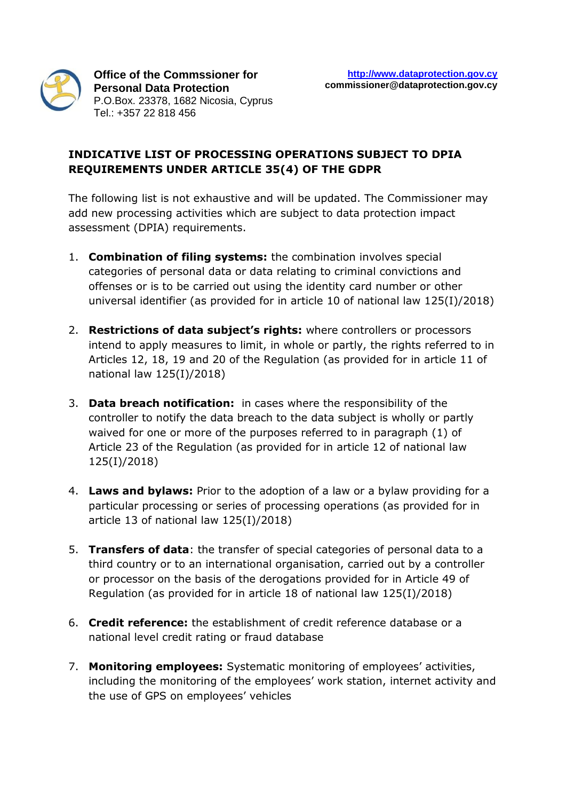

## **INDICATIVE LIST OF PROCESSING OPERATIONS SUBJECT TO DPIA REQUIREMENTS UNDER ARTICLE 35(4) OF THE GDPR**

The following list is not exhaustive and will be updated. The Commissioner may add new processing activities which are subject to data protection impact assessment (DPIA) requirements.

- 1. **Combination of filing systems:** the combination involves special categories of personal data or data relating to criminal convictions and offenses or is to be carried out using the identity card number or other universal identifier (as provided for in article 10 of national law 125(I)/2018)
- 2. **Restrictions of data subject's rights:** where controllers or processors intend to apply measures to limit, in whole or partly, the rights referred to in Articles 12, 18, 19 and 20 of the Regulation (as provided for in article 11 of national law 125(I)/2018)
- 3. **Data breach notification:** in cases where the responsibility of the controller to notify the data breach to the data subject is wholly or partly waived for one or more of the purposes referred to in paragraph (1) of Article 23 of the Regulation (as provided for in article 12 of national law 125(I)/2018)
- 4. **Laws and bylaws:** Prior to the adoption of a law or a bylaw providing for a particular processing or series of processing operations (as provided for in article 13 of national law 125(I)/2018)
- 5. **Transfers of data**: the transfer of special categories of personal data to a third country or to an international organisation, carried out by a controller or processor on the basis of the derogations provided for in Article 49 of Regulation (as provided for in article 18 of national law 125(I)/2018)
- 6. **Credit reference:** the establishment of credit reference database or a national level credit rating or fraud database
- 7. **Monitoring employees:** Systematic monitoring of employees' activities, including the monitoring of the employees' work station, internet activity and the use of GPS on employees' vehicles